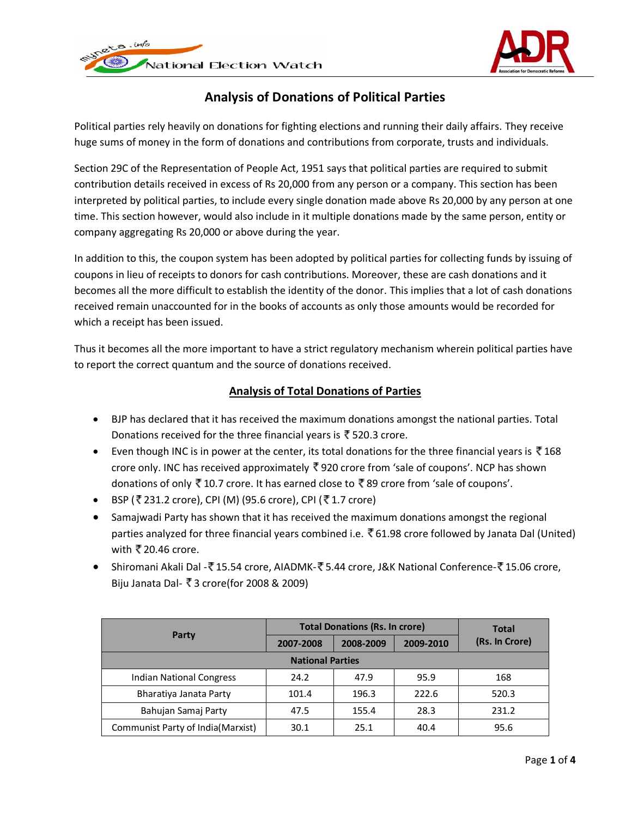



# **Analysis of Donations of Political Parties**

Political parties rely heavily on donations for fighting elections and running their daily affairs. They receive huge sums of money in the form of donations and contributions from corporate, trusts and individuals.

Section 29C of the Representation of People Act, 1951 says that political parties are required to submit contribution details received in excess of Rs 20,000 from any person or a company. This section has been interpreted by political parties, to include every single donation made above Rs 20,000 by any person at one time. This section however, would also include in it multiple donations made by the same person, entity or company aggregating Rs 20,000 or above during the year.

In addition to this, the coupon system has been adopted by political parties for collecting funds by issuing of coupons in lieu of receipts to donors for cash contributions. Moreover, these are cash donations and it becomes all the more difficult to establish the identity of the donor. This implies that a lot of cash donations received remain unaccounted for in the books of accounts as only those amounts would be recorded for which a receipt has been issued.

Thus it becomes all the more important to have a strict regulatory mechanism wherein political parties have to report the correct quantum and the source of donations received.

### **Analysis of Total Donations of Parties**

- BJP has declared that it has received the maximum donations amongst the national parties. Total Donations received for the three financial years is  $\bar{\bar{\xi}}$  520.3 crore.
- Even though INC is in power at the center, its total donations for the three financial years is  $\bar{\bar{\mathbf{z}}}$  168 crore only. INC has received approximately 920 crore from 'sale of coupons'. NCP has shown donations of only  $\overline{5}$  10.7 crore. It has earned close to  $\overline{5}$  89 crore from 'sale of coupons'.
- BSP (₹231.2 crore), CPI (M) (95.6 crore), CPI (₹1.7 crore)
- Samajwadi Party has shown that it has received the maximum donations amongst the regional parties analyzed for three financial years combined i.e. ₹61.98 crore followed by Janata Dal (United) with  $\bar{\mathbf{\tau}}$  20.46 crore.
- Shiromani Akali Dal -₹15.54 crore, AIADMK-₹5.44 crore, J&K National Conference-₹15.06 crore, Biju Janata Dal- ₹ 3 crore(for 2008 & 2009)

|                                   | <b>Total Donations (Rs. In crore)</b> | <b>Total</b> |           |                |  |
|-----------------------------------|---------------------------------------|--------------|-----------|----------------|--|
| Party                             | 2007-2008                             | 2008-2009    | 2009-2010 | (Rs. In Crore) |  |
| <b>National Parties</b>           |                                       |              |           |                |  |
| <b>Indian National Congress</b>   | 24.2                                  | 47.9         | 95.9      | 168            |  |
| Bharatiya Janata Party            | 101.4                                 | 196.3        | 222.6     | 520.3          |  |
| Bahujan Samaj Party               | 47.5                                  | 155.4        | 28.3      | 231.2          |  |
| Communist Party of India(Marxist) | 30.1                                  | 25.1         | 40.4      | 95.6           |  |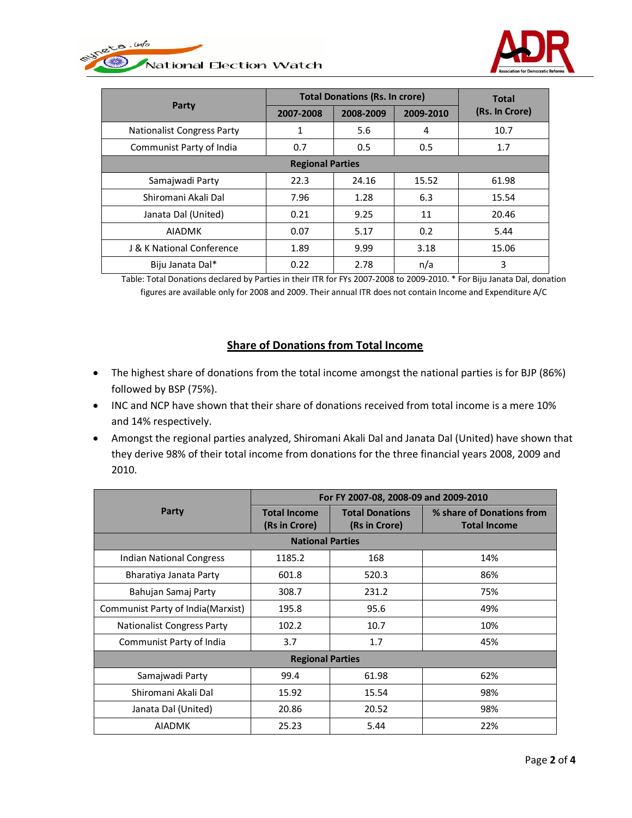



| Party                             | <b>Total Donations (Rs. In crore)</b> |           |           | <b>Total</b>   |
|-----------------------------------|---------------------------------------|-----------|-----------|----------------|
|                                   | 2007-2008                             | 2008-2009 | 2009-2010 | (Rs. In Crore) |
| <b>Nationalist Congress Party</b> | 1                                     | 5.6       | 4         | 10.7           |
| Communist Party of India          | 0.7                                   | 0.5       | 0.5       | 1.7            |
| <b>Regional Parties</b>           |                                       |           |           |                |
| Samajwadi Party                   | 22.3                                  | 24.16     | 15.52     | 61.98          |
| Shiromani Akali Dal               | 7.96                                  | 1.28      | 6.3       | 15.54          |
| Janata Dal (United)               | 0.21                                  | 9.25      | 11        | 20.46          |
| <b>AIADMK</b>                     | 0.07                                  | 5.17      | 0.2       | 5.44           |
| J & K National Conference         | 1.89                                  | 9.99      | 3.18      | 15.06          |
| Biju Janata Dal*                  | 0.22                                  | 2.78      | n/a       | 3              |

Table: Total Donations declared by Parties in their ITR for FYs 2007-2008 to 2009-2010. \* For Biju Janata Dal, donation figures are available only for 2008 and 2009. Their annual ITR does not contain Income and Expenditure A/C

### **Share of Donations from Total Income**

- The highest share of donations from the total income amongst the national parties is for BJP (86%) followed by BSP (75%).
- INC and NCP have shown that their share of donations received from total income is a mere 10% and 14% respectively.
- Amongst the regional parties analyzed, Shiromani Akali Dal and Janata Dal (United) have shown that they derive 98% of their total income from donations for the three financial years 2008, 2009 and 2010.

|                                   | For FY 2007-08, 2008-09 and 2009-2010 |                                         |                                                  |  |
|-----------------------------------|---------------------------------------|-----------------------------------------|--------------------------------------------------|--|
| Party                             | <b>Total Income</b><br>(Rs in Crore)  | <b>Total Donations</b><br>(Rs in Crore) | % share of Donations from<br><b>Total Income</b> |  |
| <b>National Parties</b>           |                                       |                                         |                                                  |  |
| Indian National Congress          | 1185.2                                | 168                                     | 14%                                              |  |
| Bharatiya Janata Party            | 601.8                                 | 520.3                                   | 86%                                              |  |
| Bahujan Samaj Party               | 308.7                                 | 231.2                                   | 75%                                              |  |
| Communist Party of India(Marxist) | 195.8                                 | 95.6                                    | 49%                                              |  |
| <b>Nationalist Congress Party</b> | 102.2                                 | 10.7                                    | 10%                                              |  |
| Communist Party of India          | 3.7                                   | 1.7                                     | 45%                                              |  |
| <b>Regional Parties</b>           |                                       |                                         |                                                  |  |
| Samajwadi Party                   | 99.4                                  | 61.98                                   | 62%                                              |  |
| Shiromani Akali Dal               | 15.92                                 | 15.54                                   | 98%                                              |  |
| Janata Dal (United)               | 20.86                                 | 20.52                                   | 98%                                              |  |
| <b>AIADMK</b>                     | 25.23                                 | 5.44                                    | 22%                                              |  |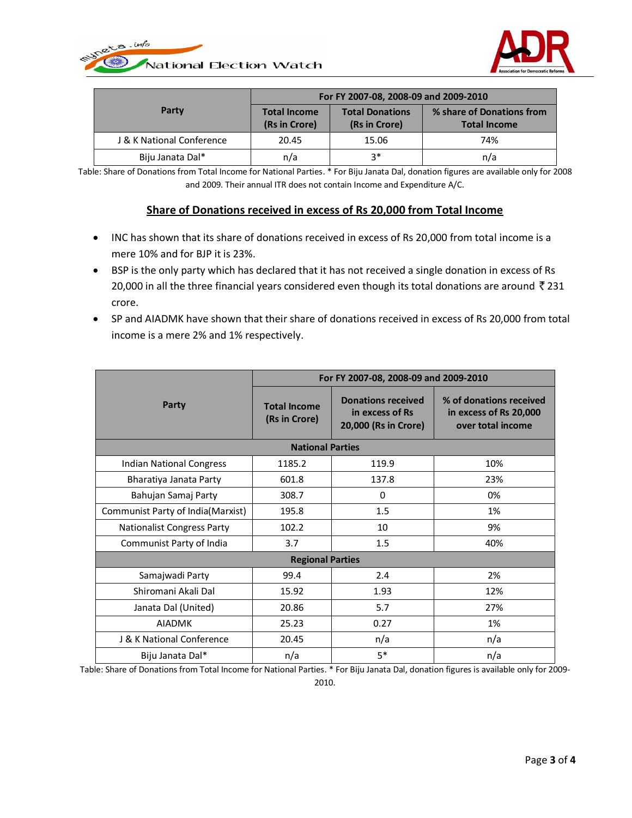



|                           | For FY 2007-08, 2008-09 and 2009-2010 |                                         |                                                  |  |
|---------------------------|---------------------------------------|-----------------------------------------|--------------------------------------------------|--|
| Party                     | <b>Total Income</b><br>(Rs in Crore)  | <b>Total Donations</b><br>(Rs in Crore) | % share of Donations from<br><b>Total Income</b> |  |
| J & K National Conference | 20.45                                 | 15.06                                   | 74%                                              |  |
| Biju Janata Dal*          | n/a                                   | ?∗                                      | n/a                                              |  |

Table: Share of Donations from Total Income for National Parties. \* For Biju Janata Dal, donation figures are available only for 2008 and 2009. Their annual ITR does not contain Income and Expenditure A/C.

#### **Share of Donations received in excess of Rs 20,000 from Total Income**

- INC has shown that its share of donations received in excess of Rs 20,000 from total income is a mere 10% and for BJP it is 23%.
- BSP is the only party which has declared that it has not received a single donation in excess of Rs 20,000 in all the three financial years considered even though its total donations are around  $\bar{z}$  231 crore.
- SP and AIADMK have shown that their share of donations received in excess of Rs 20,000 from total income is a mere 2% and 1% respectively.

|                                   | For FY 2007-08, 2008-09 and 2009-2010 |                                                                      |                                                                        |  |
|-----------------------------------|---------------------------------------|----------------------------------------------------------------------|------------------------------------------------------------------------|--|
| Party                             | <b>Total Income</b><br>(Rs in Crore)  | <b>Donations received</b><br>in excess of Rs<br>20,000 (Rs in Crore) | % of donations received<br>in excess of Rs 20,000<br>over total income |  |
|                                   | <b>National Parties</b>               |                                                                      |                                                                        |  |
| <b>Indian National Congress</b>   | 1185.2                                | 119.9                                                                | 10%                                                                    |  |
| Bharatiya Janata Party            | 601.8                                 | 137.8                                                                | 23%                                                                    |  |
| Bahujan Samaj Party               | 308.7                                 | $\Omega$                                                             | 0%                                                                     |  |
| Communist Party of India(Marxist) | 195.8                                 | 1.5                                                                  | 1%                                                                     |  |
| <b>Nationalist Congress Party</b> | 102.2                                 | 10                                                                   | 9%                                                                     |  |
| Communist Party of India          | 3.7                                   | 1.5                                                                  | 40%                                                                    |  |
| <b>Regional Parties</b>           |                                       |                                                                      |                                                                        |  |
| Samajwadi Party                   | 99.4                                  | 2.4                                                                  | 2%                                                                     |  |
| Shiromani Akali Dal               | 15.92                                 | 1.93                                                                 | 12%                                                                    |  |
| Janata Dal (United)               | 20.86                                 | 5.7                                                                  | 27%                                                                    |  |
| <b>AIADMK</b>                     | 25.23                                 | 0.27                                                                 | 1%                                                                     |  |
| J & K National Conference         | 20.45                                 | n/a                                                                  | n/a                                                                    |  |
| Biju Janata Dal*                  | n/a                                   | $5*$                                                                 | n/a                                                                    |  |

Table: Share of Donations from Total Income for National Parties. \* For Biju Janata Dal, donation figures is available only for 2009- 2010.